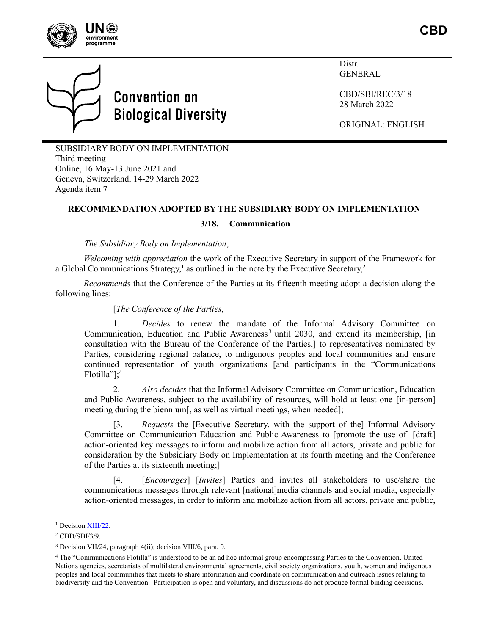



## **Convention on Biological Diversity**

Distr. GENERAL

CBD/SBI/REC/3/18 28 March 2022

<span id="page-0-0"></span>ORIGINAL: ENGLISH

SUBSIDIARY BODY ON IMPLEMENTATION Third meeting Online, 16 May-13 June 2021 and Geneva, Switzerland, 14-29 March 2022 Agenda item 7

## **RECOMMENDATION ADOPTED BY THE SUBSIDIARY BODY ON IMPLEMENTATION**

## **3/18. Communication**

*The Subsidiary Body on Implementation*,

*Welcoming with appreciation* the work of the Executive Secretary in support of the Framework for a Global Communications Strategy,<sup>1</sup> as outlined in the note by the Executive Secretary,<sup>2</sup>

*Recommends* that the Conference of the Parties at its fifteenth meeting adopt a decision along the following lines:

## [*The Conference of the Parties*,

1. *Decides* to renew the mandate of the Informal Advisory Committee on Communication, Education and Public Awareness<sup>3</sup> until 2030, and extend its membership, [in consultation with the Bureau of the Conference of the Parties,] to representatives nominated by Parties, considering regional balance, to indigenous peoples and local communities and ensure continued representation of youth organizations [and participants in the "Communications Flotilla"]; 4

2. *Also decides* that the Informal Advisory Committee on Communication, Education and Public Awareness, subject to the availability of resources, will hold at least one [in-person] meeting during the biennium[, as well as virtual meetings, when needed];

[3. *Requests* the [Executive Secretary, with the support of the] Informal Advisory Committee on Communication Education and Public Awareness to [promote the use of] [draft] action-oriented key messages to inform and mobilize action from all actors, private and public for consideration by the Subsidiary Body on Implementation at its fourth meeting and the Conference of the Parties at its sixteenth meeting;]

[4. [*Encourages*] [*Invites*] Parties and invites all stakeholders to use/share the communications messages through relevant [national]media channels and social media, especially action-oriented messages, in order to inform and mobilize action from all actors, private and public,

<sup>&</sup>lt;sup>1</sup> Decisio[n XIII/22.](https://www.cbd.int/doc/decisions/cop-13/cop-13-dec-22-en.pdf)

<sup>2</sup> CBD/SBI/3/9.

<sup>3</sup> Decision VII/24, paragraph 4(ii); decision VIII/6, para. 9.

<sup>4</sup> The "Communications Flotilla" is understood to be an ad hoc informal group encompassing Parties to the Convention, United Nations agencies, secretariats of multilateral environmental agreements, civil society organizations, youth, women and indigenous peoples and local communities that meets to share information and coordinate on communication and outreach issues relating to biodiversity and the Convention. Participation is open and voluntary, and discussions do not produce formal binding decisions.